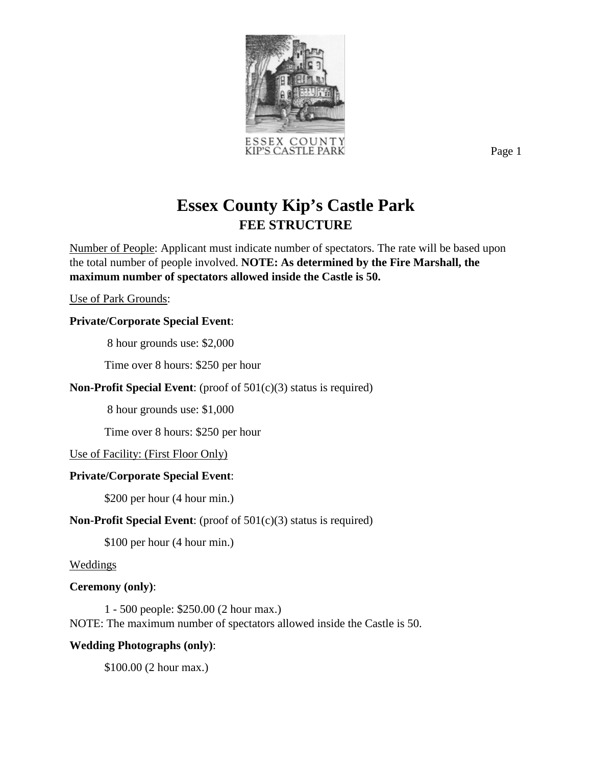

Page 1

# **Essex County Kip's Castle Park FEE STRUCTURE**

Number of People: Applicant must indicate number of spectators. The rate will be based upon the total number of people involved. **NOTE: As determined by the Fire Marshall, the maximum number of spectators allowed inside the Castle is 50.**

Use of Park Grounds:

## **Private/Corporate Special Event**:

8 hour grounds use: \$2,000

Time over 8 hours: \$250 per hour

## **Non-Profit Special Event**: (proof of 501(c)(3) status is required)

8 hour grounds use: \$1,000

Time over 8 hours: \$250 per hour

Use of Facility: (First Floor Only)

## **Private/Corporate Special Event**:

\$200 per hour (4 hour min.)

## **Non-Profit Special Event**: (proof of 501(c)(3) status is required)

\$100 per hour (4 hour min.)

Weddings

## **Ceremony (only)**:

1 - 500 people: \$250.00 (2 hour max.) NOTE: The maximum number of spectators allowed inside the Castle is 50.

## **Wedding Photographs (only)**:

\$100.00 (2 hour max.)